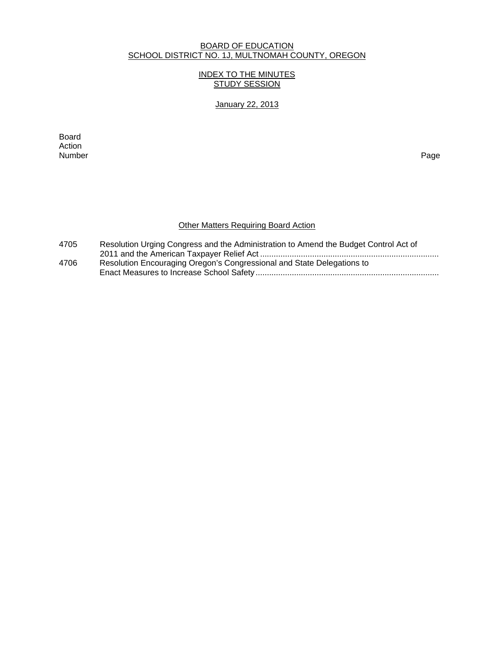#### BOARD OF EDUCATION SCHOOL DISTRICT NO. 1J, MULTNOMAH COUNTY, OREGON

## INDEX TO THE MINUTES STUDY SESSION

January 22, 2013

extending the control of the control of the control of the control of the control of the control of the control of the control of the control of the control of the control of the control of the control of the control of th Action<br>Number Number Page

# **Other Matters Requiring Board Action**

| 4705 | Resolution Urging Congress and the Administration to Amend the Budget Control Act of |
|------|--------------------------------------------------------------------------------------|
|      |                                                                                      |
| 4706 | Resolution Encouraging Oregon's Congressional and State Delegations to               |
|      |                                                                                      |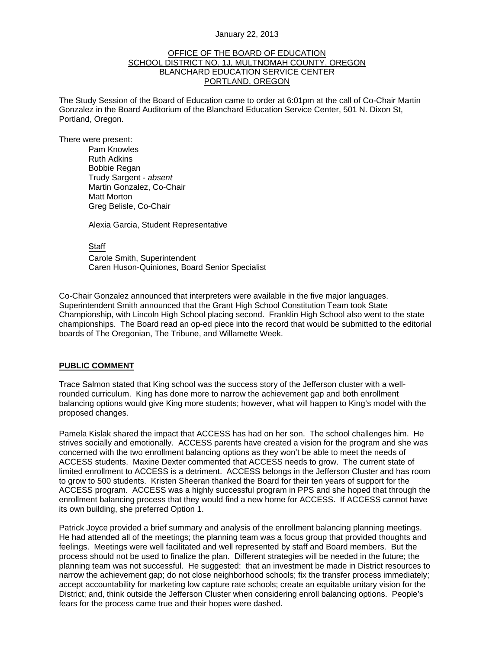#### January 22, 2013

#### OFFICE OF THE BOARD OF EDUCATION SCHOOL DISTRICT NO. 1J, MULTNOMAH COUNTY, OREGON BLANCHARD EDUCATION SERVICE CENTER PORTLAND, OREGON

The Study Session of the Board of Education came to order at 6:01pm at the call of Co-Chair Martin Gonzalez in the Board Auditorium of the Blanchard Education Service Center, 501 N. Dixon St, Portland, Oregon.

There were present: Pam Knowles

Ruth Adkins Bobbie Regan Trudy Sargent - *absent* Martin Gonzalez, Co-Chair Matt Morton Greg Belisle, Co-Chair

Alexia Garcia, Student Representative

**Staff** 

 Carole Smith, Superintendent Caren Huson-Quiniones, Board Senior Specialist

Co-Chair Gonzalez announced that interpreters were available in the five major languages. Superintendent Smith announced that the Grant High School Constitution Team took State Championship, with Lincoln High School placing second. Franklin High School also went to the state championships. The Board read an op-ed piece into the record that would be submitted to the editorial boards of The Oregonian, The Tribune, and Willamette Week.

### **PUBLIC COMMENT**

Trace Salmon stated that King school was the success story of the Jefferson cluster with a wellrounded curriculum. King has done more to narrow the achievement gap and both enrollment balancing options would give King more students; however, what will happen to King's model with the proposed changes.

Pamela Kislak shared the impact that ACCESS has had on her son. The school challenges him. He strives socially and emotionally. ACCESS parents have created a vision for the program and she was concerned with the two enrollment balancing options as they won't be able to meet the needs of ACCESS students. Maxine Dexter commented that ACCESS needs to grow. The current state of limited enrollment to ACCESS is a detriment. ACCESS belongs in the Jefferson Cluster and has room to grow to 500 students. Kristen Sheeran thanked the Board for their ten years of support for the ACCESS program. ACCESS was a highly successful program in PPS and she hoped that through the enrollment balancing process that they would find a new home for ACCESS. If ACCESS cannot have its own building, she preferred Option 1.

Patrick Joyce provided a brief summary and analysis of the enrollment balancing planning meetings. He had attended all of the meetings; the planning team was a focus group that provided thoughts and feelings. Meetings were well facilitated and well represented by staff and Board members. But the process should not be used to finalize the plan. Different strategies will be needed in the future; the planning team was not successful. He suggested: that an investment be made in District resources to narrow the achievement gap; do not close neighborhood schools; fix the transfer process immediately; accept accountability for marketing low capture rate schools; create an equitable unitary vision for the District; and, think outside the Jefferson Cluster when considering enroll balancing options. People's fears for the process came true and their hopes were dashed.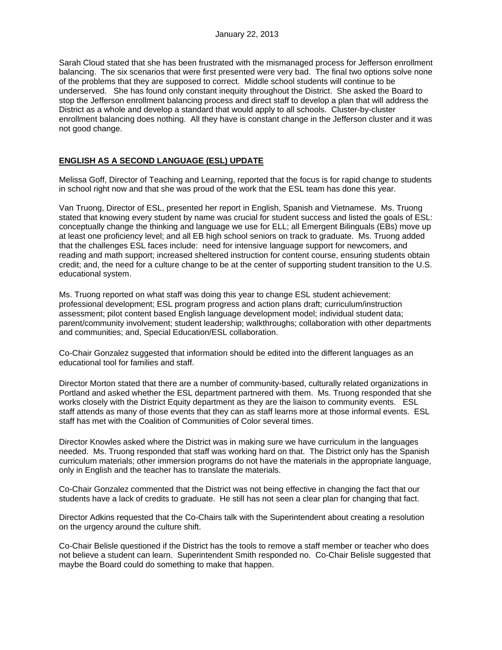Sarah Cloud stated that she has been frustrated with the mismanaged process for Jefferson enrollment balancing. The six scenarios that were first presented were very bad. The final two options solve none of the problems that they are supposed to correct. Middle school students will continue to be underserved. She has found only constant inequity throughout the District. She asked the Board to stop the Jefferson enrollment balancing process and direct staff to develop a plan that will address the District as a whole and develop a standard that would apply to all schools. Cluster-by-cluster enrollment balancing does nothing. All they have is constant change in the Jefferson cluster and it was not good change.

## **ENGLISH AS A SECOND LANGUAGE (ESL) UPDATE**

Melissa Goff, Director of Teaching and Learning, reported that the focus is for rapid change to students in school right now and that she was proud of the work that the ESL team has done this year.

Van Truong, Director of ESL, presented her report in English, Spanish and Vietnamese. Ms. Truong stated that knowing every student by name was crucial for student success and listed the goals of ESL: conceptually change the thinking and language we use for ELL; all Emergent Bilinguals (EBs) move up at least one proficiency level; and all EB high school seniors on track to graduate. Ms. Truong added that the challenges ESL faces include: need for intensive language support for newcomers, and reading and math support; increased sheltered instruction for content course, ensuring students obtain credit; and, the need for a culture change to be at the center of supporting student transition to the U.S. educational system.

Ms. Truong reported on what staff was doing this year to change ESL student achievement: professional development; ESL program progress and action plans draft; curriculum/instruction assessment; pilot content based English language development model; individual student data; parent/community involvement; student leadership; walkthroughs; collaboration with other departments and communities; and, Special Education/ESL collaboration.

Co-Chair Gonzalez suggested that information should be edited into the different languages as an educational tool for families and staff.

Director Morton stated that there are a number of community-based, culturally related organizations in Portland and asked whether the ESL department partnered with them. Ms. Truong responded that she works closely with the District Equity department as they are the liaison to community events. ESL staff attends as many of those events that they can as staff learns more at those informal events. ESL staff has met with the Coalition of Communities of Color several times.

Director Knowles asked where the District was in making sure we have curriculum in the languages needed. Ms. Truong responded that staff was working hard on that. The District only has the Spanish curriculum materials; other immersion programs do not have the materials in the appropriate language, only in English and the teacher has to translate the materials.

Co-Chair Gonzalez commented that the District was not being effective in changing the fact that our students have a lack of credits to graduate. He still has not seen a clear plan for changing that fact.

Director Adkins requested that the Co-Chairs talk with the Superintendent about creating a resolution on the urgency around the culture shift.

Co-Chair Belisle questioned if the District has the tools to remove a staff member or teacher who does not believe a student can learn. Superintendent Smith responded no. Co-Chair Belisle suggested that maybe the Board could do something to make that happen.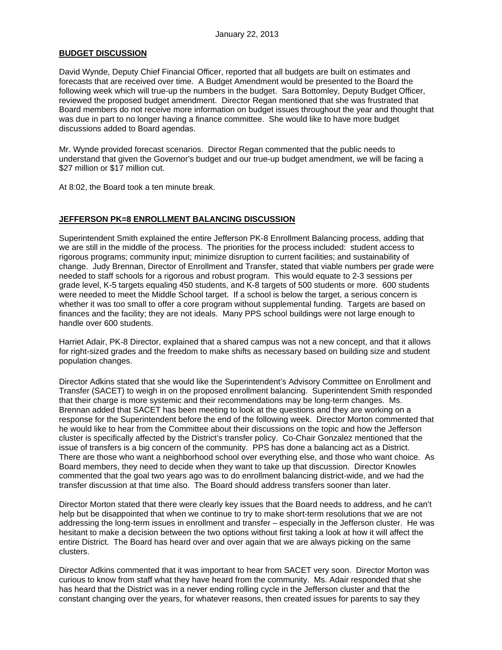### **BUDGET DISCUSSION**

David Wynde, Deputy Chief Financial Officer, reported that all budgets are built on estimates and forecasts that are received over time. A Budget Amendment would be presented to the Board the following week which will true-up the numbers in the budget. Sara Bottomley, Deputy Budget Officer, reviewed the proposed budget amendment. Director Regan mentioned that she was frustrated that Board members do not receive more information on budget issues throughout the year and thought that was due in part to no longer having a finance committee. She would like to have more budget discussions added to Board agendas.

Mr. Wynde provided forecast scenarios. Director Regan commented that the public needs to understand that given the Governor's budget and our true-up budget amendment, we will be facing a \$27 million or \$17 million cut.

At 8:02, the Board took a ten minute break.

## **JEFFERSON PK=8 ENROLLMENT BALANCING DISCUSSION**

Superintendent Smith explained the entire Jefferson PK-8 Enrollment Balancing process, adding that we are still in the middle of the process. The priorities for the process included: student access to rigorous programs; community input; minimize disruption to current facilities; and sustainability of change. Judy Brennan, Director of Enrollment and Transfer, stated that viable numbers per grade were needed to staff schools for a rigorous and robust program. This would equate to 2-3 sessions per grade level, K-5 targets equaling 450 students, and K-8 targets of 500 students or more. 600 students were needed to meet the Middle School target. If a school is below the target, a serious concern is whether it was too small to offer a core program without supplemental funding. Targets are based on finances and the facility; they are not ideals. Many PPS school buildings were not large enough to handle over 600 students.

Harriet Adair, PK-8 Director, explained that a shared campus was not a new concept, and that it allows for right-sized grades and the freedom to make shifts as necessary based on building size and student population changes.

Director Adkins stated that she would like the Superintendent's Advisory Committee on Enrollment and Transfer (SACET) to weigh in on the proposed enrollment balancing. Superintendent Smith responded that their charge is more systemic and their recommendations may be long-term changes. Ms. Brennan added that SACET has been meeting to look at the questions and they are working on a response for the Superintendent before the end of the following week. Director Morton commented that he would like to hear from the Committee about their discussions on the topic and how the Jefferson cluster is specifically affected by the District's transfer policy. Co-Chair Gonzalez mentioned that the issue of transfers is a big concern of the community. PPS has done a balancing act as a District. There are those who want a neighborhood school over everything else, and those who want choice. As Board members, they need to decide when they want to take up that discussion. Director Knowles commented that the goal two years ago was to do enrollment balancing district-wide, and we had the transfer discussion at that time also. The Board should address transfers sooner than later.

Director Morton stated that there were clearly key issues that the Board needs to address, and he can't help but be disappointed that when we continue to try to make short-term resolutions that we are not addressing the long-term issues in enrollment and transfer – especially in the Jefferson cluster. He was hesitant to make a decision between the two options without first taking a look at how it will affect the entire District. The Board has heard over and over again that we are always picking on the same clusters.

Director Adkins commented that it was important to hear from SACET very soon. Director Morton was curious to know from staff what they have heard from the community. Ms. Adair responded that she has heard that the District was in a never ending rolling cycle in the Jefferson cluster and that the constant changing over the years, for whatever reasons, then created issues for parents to say they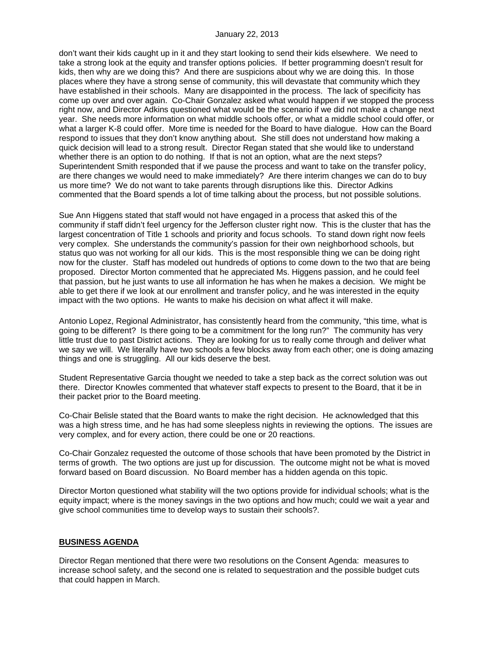don't want their kids caught up in it and they start looking to send their kids elsewhere. We need to take a strong look at the equity and transfer options policies. If better programming doesn't result for kids, then why are we doing this? And there are suspicions about why we are doing this. In those places where they have a strong sense of community, this will devastate that community which they have established in their schools. Many are disappointed in the process. The lack of specificity has come up over and over again. Co-Chair Gonzalez asked what would happen if we stopped the process right now, and Director Adkins questioned what would be the scenario if we did not make a change next year. She needs more information on what middle schools offer, or what a middle school could offer, or what a larger K-8 could offer. More time is needed for the Board to have dialogue. How can the Board respond to issues that they don't know anything about. She still does not understand how making a quick decision will lead to a strong result. Director Regan stated that she would like to understand whether there is an option to do nothing. If that is not an option, what are the next steps? Superintendent Smith responded that if we pause the process and want to take on the transfer policy, are there changes we would need to make immediately? Are there interim changes we can do to buy us more time? We do not want to take parents through disruptions like this. Director Adkins commented that the Board spends a lot of time talking about the process, but not possible solutions.

Sue Ann Higgens stated that staff would not have engaged in a process that asked this of the community if staff didn't feel urgency for the Jefferson cluster right now. This is the cluster that has the largest concentration of Title 1 schools and priority and focus schools. To stand down right now feels very complex. She understands the community's passion for their own neighborhood schools, but status quo was not working for all our kids. This is the most responsible thing we can be doing right now for the cluster. Staff has modeled out hundreds of options to come down to the two that are being proposed. Director Morton commented that he appreciated Ms. Higgens passion, and he could feel that passion, but he just wants to use all information he has when he makes a decision. We might be able to get there if we look at our enrollment and transfer policy, and he was interested in the equity impact with the two options. He wants to make his decision on what affect it will make.

Antonio Lopez, Regional Administrator, has consistently heard from the community, "this time, what is going to be different? Is there going to be a commitment for the long run?" The community has very little trust due to past District actions. They are looking for us to really come through and deliver what we say we will. We literally have two schools a few blocks away from each other; one is doing amazing things and one is struggling. All our kids deserve the best.

Student Representative Garcia thought we needed to take a step back as the correct solution was out there. Director Knowles commented that whatever staff expects to present to the Board, that it be in their packet prior to the Board meeting.

Co-Chair Belisle stated that the Board wants to make the right decision. He acknowledged that this was a high stress time, and he has had some sleepless nights in reviewing the options. The issues are very complex, and for every action, there could be one or 20 reactions.

Co-Chair Gonzalez requested the outcome of those schools that have been promoted by the District in terms of growth. The two options are just up for discussion. The outcome might not be what is moved forward based on Board discussion. No Board member has a hidden agenda on this topic.

Director Morton questioned what stability will the two options provide for individual schools; what is the equity impact; where is the money savings in the two options and how much; could we wait a year and give school communities time to develop ways to sustain their schools?.

### **BUSINESS AGENDA**

Director Regan mentioned that there were two resolutions on the Consent Agenda: measures to increase school safety, and the second one is related to sequestration and the possible budget cuts that could happen in March.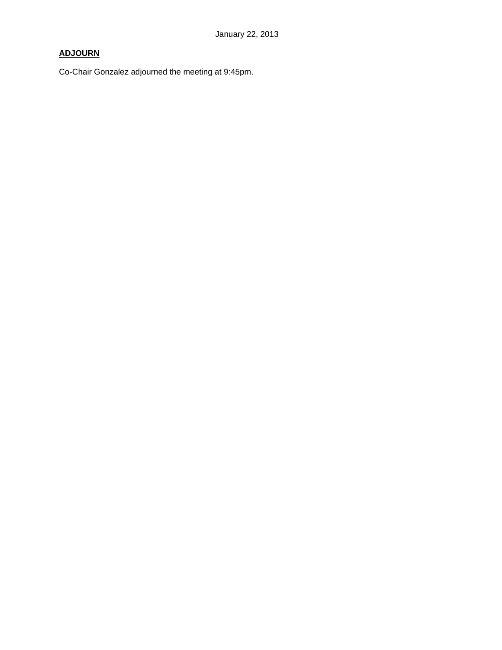# **ADJOURN**

Co-Chair Gonzalez adjourned the meeting at 9:45pm.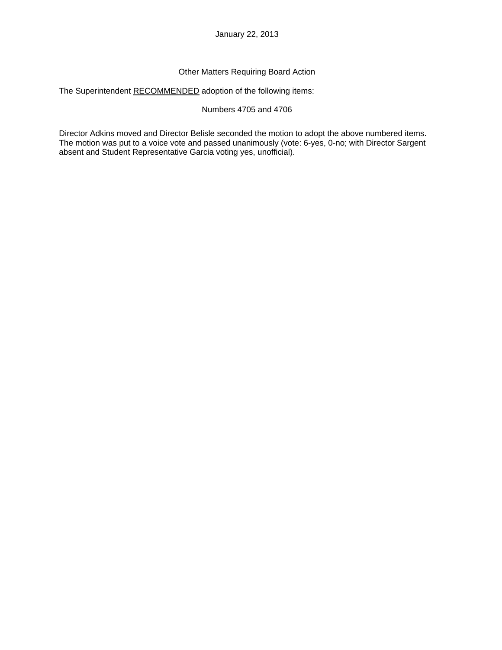## Other Matters Requiring Board Action

The Superintendent RECOMMENDED adoption of the following items:

## Numbers 4705 and 4706

Director Adkins moved and Director Belisle seconded the motion to adopt the above numbered items. The motion was put to a voice vote and passed unanimously (vote: 6-yes, 0-no; with Director Sargent absent and Student Representative Garcia voting yes, unofficial).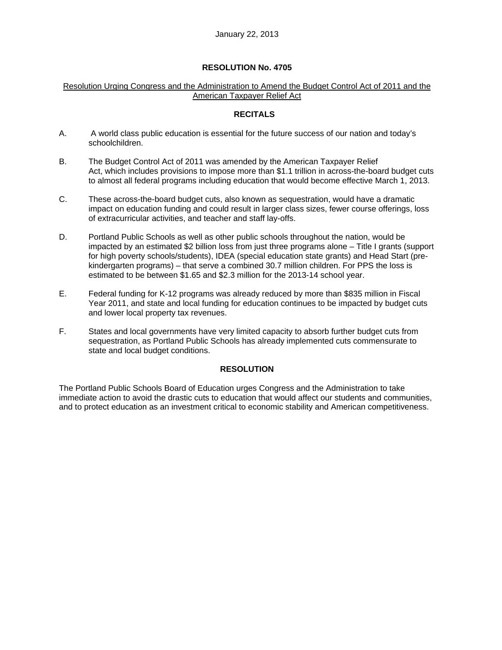## **RESOLUTION No. 4705**

## Resolution Urging Congress and the Administration to Amend the Budget Control Act of 2011 and the American Taxpayer Relief Act

## **RECITALS**

- A. A world class public education is essential for the future success of our nation and today's schoolchildren.
- B. The Budget Control Act of 2011 was amended by the American Taxpayer Relief Act, which includes provisions to impose more than \$1.1 trillion in across-the-board budget cuts to almost all federal programs including education that would become effective March 1, 2013.
- C. These across-the-board budget cuts, also known as sequestration, would have a dramatic impact on education funding and could result in larger class sizes, fewer course offerings, loss of extracurricular activities, and teacher and staff lay-offs.
- D. Portland Public Schools as well as other public schools throughout the nation, would be impacted by an estimated \$2 billion loss from just three programs alone – Title I grants (support for high poverty schools/students), IDEA (special education state grants) and Head Start (prekindergarten programs) – that serve a combined 30.7 million children. For PPS the loss is estimated to be between \$1.65 and \$2.3 million for the 2013-14 school year.
- E. Federal funding for K-12 programs was already reduced by more than \$835 million in Fiscal Year 2011, and state and local funding for education continues to be impacted by budget cuts and lower local property tax revenues.
- F. States and local governments have very limited capacity to absorb further budget cuts from sequestration, as Portland Public Schools has already implemented cuts commensurate to state and local budget conditions.

## **RESOLUTION**

The Portland Public Schools Board of Education urges Congress and the Administration to take immediate action to avoid the drastic cuts to education that would affect our students and communities, and to protect education as an investment critical to economic stability and American competitiveness.